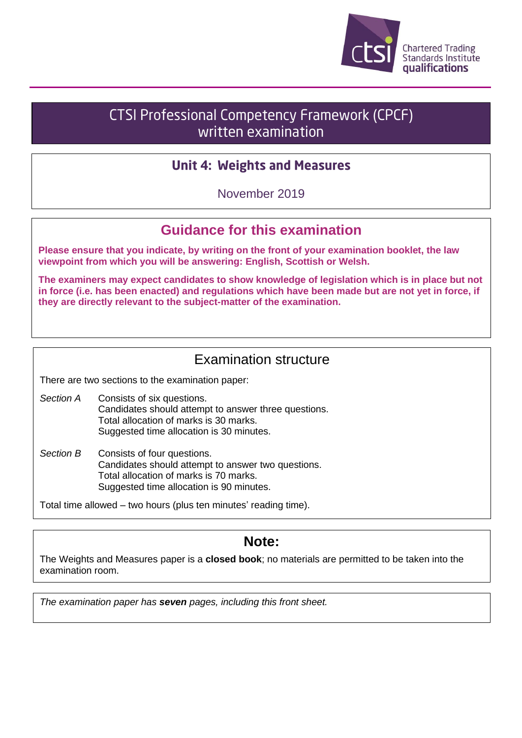

# **CTSI Professional Competency Framework (CPCF)** written examination

#### **Unit 4: Weights and Measures**

November 2019

## **Guidance for this examination**

**Please ensure that you indicate, by writing on the front of your examination booklet, the law viewpoint from which you will be answering: English, Scottish or Welsh.**

**The examiners may expect candidates to show knowledge of legislation which is in place but not in force (i.e. has been enacted) and regulations which have been made but are not yet in force, if they are directly relevant to the subject-matter of the examination.**

## Examination structure

There are two sections to the examination paper:

- *Section A* Consists of six questions. Candidates should attempt to answer three questions. Total allocation of marks is 30 marks. Suggested time allocation is 30 minutes.
- *Section B* Consists of four questions. Candidates should attempt to answer two questions. Total allocation of marks is 70 marks. Suggested time allocation is 90 minutes.

Total time allowed – two hours (plus ten minutes' reading time).

#### **Note:**

The Weights and Measures paper is a **closed book**; no materials are permitted to be taken into the examination room.

*The examination paper has seven pages, including this front sheet.*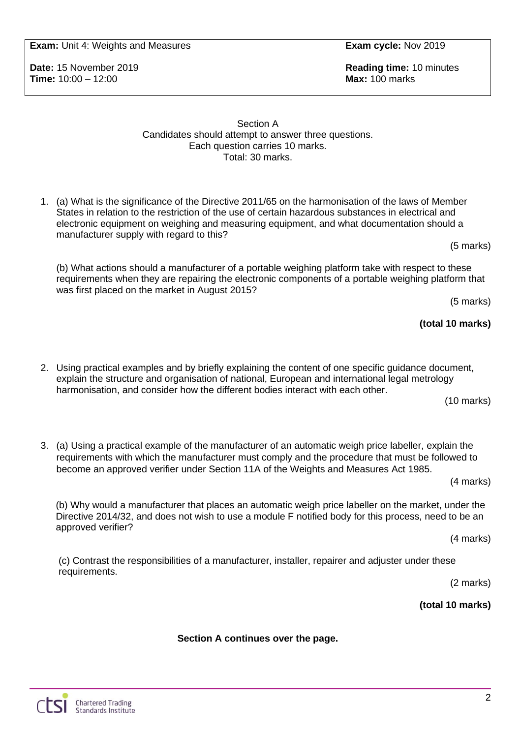**Exam:** Unit 4: Weights and Measures **Exam cycle:** Nov 2019

**Time:** 10:00 – 12:00 **Max:** 100 marks

1. (a) What is the significance of the Directive 2011/65 on the harmonisation of the laws of Member States in relation to the restriction of the use of certain hazardous substances in electrical and

Section A Candidates should attempt to answer three questions. Each question carries 10 marks. Total: 30 marks.

electronic equipment on weighing and measuring equipment, and what documentation should a manufacturer supply with regard to this? (5 marks)

(b) What actions should a manufacturer of a portable weighing platform take with respect to these requirements when they are repairing the electronic components of a portable weighing platform that was first placed on the market in August 2015? (5 marks)

**(total 10 marks)**

2. Using practical examples and by briefly explaining the content of one specific guidance document, explain the structure and organisation of national, European and international legal metrology harmonisation, and consider how the different bodies interact with each other. (10 marks)

3. (a) Using a practical example of the manufacturer of an automatic weigh price labeller, explain the requirements with which the manufacturer must comply and the procedure that must be followed to become an approved verifier under Section 11A of the Weights and Measures Act 1985.

(4 marks)

(b) Why would a manufacturer that places an automatic weigh price labeller on the market, under the Directive 2014/32, and does not wish to use a module F notified body for this process, need to be an approved verifier?

(4 marks)

(c) Contrast the responsibilities of a manufacturer, installer, repairer and adjuster under these requirements.

**Section A continues over the page.**

(2 marks)

 $\overline{2}$ 

**(total 10 marks)**

**Date:** 15 November 2019 **Reading time:** 10 minutes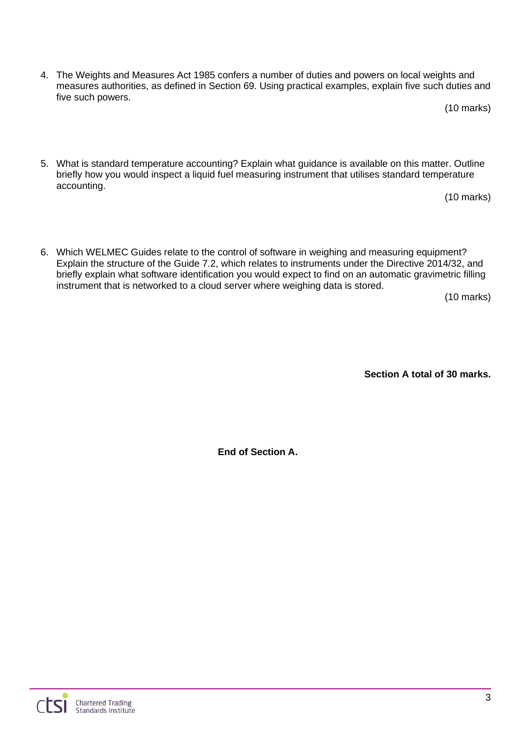4. The Weights and Measures Act 1985 confers a number of duties and powers on local weights and measures authorities, as defined in Section 69. Using practical examples, explain five such duties and five such powers.

(10 marks)

5. What is standard temperature accounting? Explain what guidance is available on this matter. Outline briefly how you would inspect a liquid fuel measuring instrument that utilises standard temperature accounting.

(10 marks)

6. Which WELMEC Guides relate to the control of software in weighing and measuring equipment? Explain the structure of the Guide 7.2, which relates to instruments under the Directive 2014/32, and briefly explain what software identification you would expect to find on an automatic gravimetric filling instrument that is networked to a cloud server where weighing data is stored.

(10 marks)

**Section A total of 30 marks.**

**End of Section A.**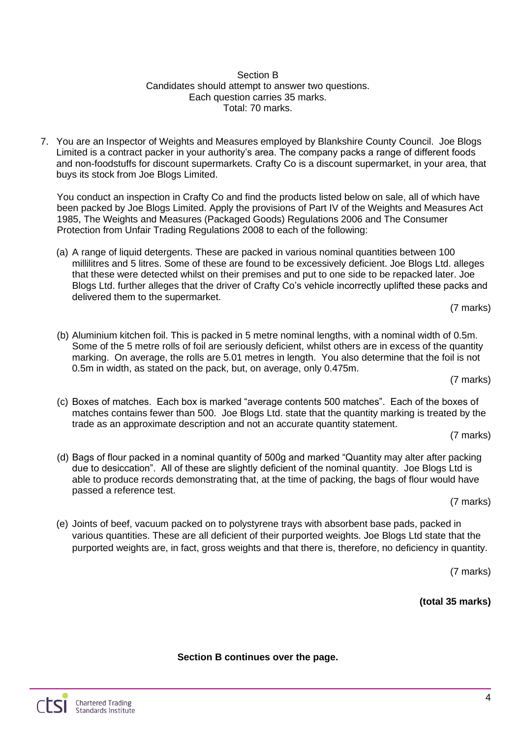#### Section B Candidates should attempt to answer two questions. Each question carries 35 marks. Total: 70 marks.

7. You are an Inspector of Weights and Measures employed by Blankshire County Council. Joe Blogs Limited is a contract packer in your authority's area. The company packs a range of different foods and non-foodstuffs for discount supermarkets. Crafty Co is a discount supermarket, in your area, that buys its stock from Joe Blogs Limited.

You conduct an inspection in Crafty Co and find the products listed below on sale, all of which have been packed by Joe Blogs Limited. Apply the provisions of Part IV of the Weights and Measures Act 1985, The Weights and Measures (Packaged Goods) Regulations 2006 and The Consumer Protection from Unfair Trading Regulations 2008 to each of the following:

(a) A range of liquid detergents. These are packed in various nominal quantities between 100 millilitres and 5 litres. Some of these are found to be excessively deficient. Joe Blogs Ltd. alleges that these were detected whilst on their premises and put to one side to be repacked later. Joe Blogs Ltd. further alleges that the driver of Crafty Co's vehicle incorrectly uplifted these packs and delivered them to the supermarket.

(7 marks)

(b) Aluminium kitchen foil. This is packed in 5 metre nominal lengths, with a nominal width of 0.5m. Some of the 5 metre rolls of foil are seriously deficient, whilst others are in excess of the quantity marking. On average, the rolls are 5.01 metres in length. You also determine that the foil is not 0.5m in width, as stated on the pack, but, on average, only 0.475m.

(7 marks)

(c) Boxes of matches. Each box is marked "average contents 500 matches". Each of the boxes of matches contains fewer than 500. Joe Blogs Ltd. state that the quantity marking is treated by the trade as an approximate description and not an accurate quantity statement.

(7 marks)

(d) Bags of flour packed in a nominal quantity of 500g and marked "Quantity may alter after packing due to desiccation". All of these are slightly deficient of the nominal quantity. Joe Blogs Ltd is able to produce records demonstrating that, at the time of packing, the bags of flour would have passed a reference test.

(7 marks)

(e) Joints of beef, vacuum packed on to polystyrene trays with absorbent base pads, packed in various quantities. These are all deficient of their purported weights. Joe Blogs Ltd state that the purported weights are, in fact, gross weights and that there is, therefore, no deficiency in quantity.

(7 marks)

**(total 35 marks)**

**Section B continues over the page.**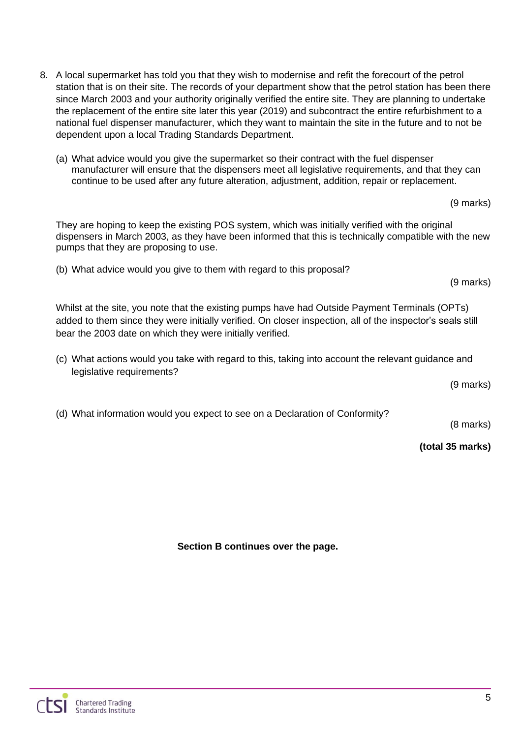- 8. A local supermarket has told you that they wish to modernise and refit the forecourt of the petrol station that is on their site. The records of your department show that the petrol station has been there since March 2003 and your authority originally verified the entire site. They are planning to undertake the replacement of the entire site later this year (2019) and subcontract the entire refurbishment to a national fuel dispenser manufacturer, which they want to maintain the site in the future and to not be dependent upon a local Trading Standards Department.
	- (a) What advice would you give the supermarket so their contract with the fuel dispenser manufacturer will ensure that the dispensers meet all legislative requirements, and that they can continue to be used after any future alteration, adjustment, addition, repair or replacement.

(9 marks)

They are hoping to keep the existing POS system, which was initially verified with the original dispensers in March 2003, as they have been informed that this is technically compatible with the new pumps that they are proposing to use.

(b) What advice would you give to them with regard to this proposal?

(9 marks)

Whilst at the site, you note that the existing pumps have had Outside Payment Terminals (OPTs) added to them since they were initially verified. On closer inspection, all of the inspector's seals still bear the 2003 date on which they were initially verified.

(c) What actions would you take with regard to this, taking into account the relevant guidance and legislative requirements?

(9 marks)

(d) What information would you expect to see on a Declaration of Conformity?

(8 marks)

**(total 35 marks)**

**Section B continues over the page.**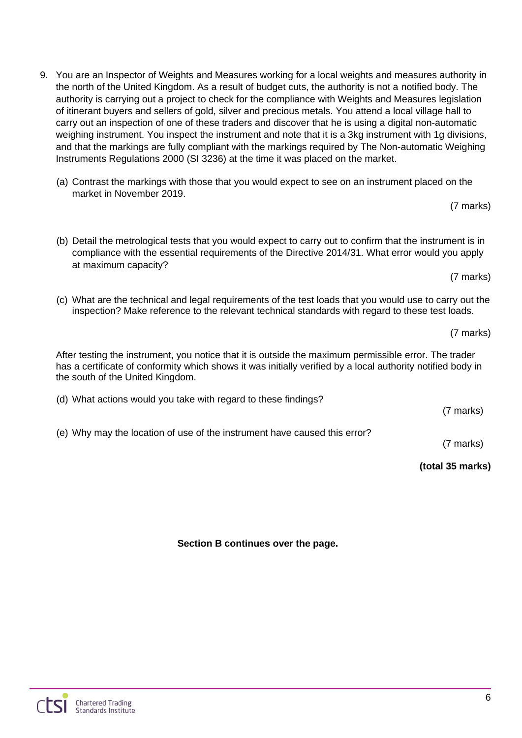- 9. You are an Inspector of Weights and Measures working for a local weights and measures authority in the north of the United Kingdom. As a result of budget cuts, the authority is not a notified body. The authority is carrying out a project to check for the compliance with Weights and Measures legislation of itinerant buyers and sellers of gold, silver and precious metals. You attend a local village hall to carry out an inspection of one of these traders and discover that he is using a digital non-automatic weighing instrument. You inspect the instrument and note that it is a 3kg instrument with 1g divisions, and that the markings are fully compliant with the markings required by The Non-automatic Weighing Instruments Regulations 2000 (SI 3236) at the time it was placed on the market.
	- (a) Contrast the markings with those that you would expect to see on an instrument placed on the market in November 2019.

(7 marks)

- (b) Detail the metrological tests that you would expect to carry out to confirm that the instrument is in compliance with the essential requirements of the Directive 2014/31. What error would you apply at maximum capacity?
- (c) What are the technical and legal requirements of the test loads that you would use to carry out the inspection? Make reference to the relevant technical standards with regard to these test loads.

(7 marks)

(7 marks)

After testing the instrument, you notice that it is outside the maximum permissible error. The trader has a certificate of conformity which shows it was initially verified by a local authority notified body in the south of the United Kingdom.

(d) What actions would you take with regard to these findings?

(e) Why may the location of use of the instrument have caused this error?

(7 marks)

#### **(total 35 marks)**

**Section B continues over the page.**

(7 marks)